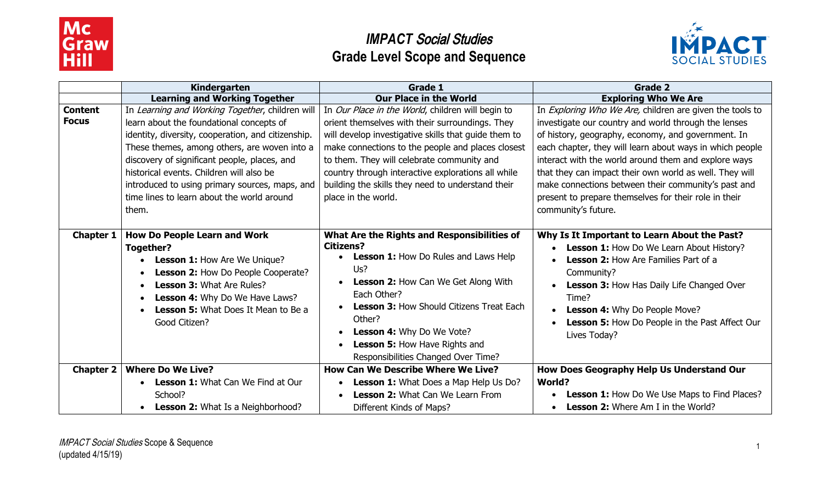



|                                | Kindergarten                                                                                                                                                                                                                                                                                                                                                                                           | Grade 1                                                                                                                                                                                                                                                                                                                                                                                           | <b>Grade 2</b>                                                                                                                                                                                                                                                                                                                                                                                                                                                                               |
|--------------------------------|--------------------------------------------------------------------------------------------------------------------------------------------------------------------------------------------------------------------------------------------------------------------------------------------------------------------------------------------------------------------------------------------------------|---------------------------------------------------------------------------------------------------------------------------------------------------------------------------------------------------------------------------------------------------------------------------------------------------------------------------------------------------------------------------------------------------|----------------------------------------------------------------------------------------------------------------------------------------------------------------------------------------------------------------------------------------------------------------------------------------------------------------------------------------------------------------------------------------------------------------------------------------------------------------------------------------------|
|                                | <b>Learning and Working Together</b>                                                                                                                                                                                                                                                                                                                                                                   | <b>Our Place in the World</b>                                                                                                                                                                                                                                                                                                                                                                     | <b>Exploring Who We Are</b>                                                                                                                                                                                                                                                                                                                                                                                                                                                                  |
| <b>Content</b><br><b>Focus</b> | In Learning and Working Together, children will<br>learn about the foundational concepts of<br>identity, diversity, cooperation, and citizenship.<br>These themes, among others, are woven into a<br>discovery of significant people, places, and<br>historical events. Children will also be<br>introduced to using primary sources, maps, and<br>time lines to learn about the world around<br>them. | In Our Place in the World, children will begin to<br>orient themselves with their surroundings. They<br>will develop investigative skills that guide them to<br>make connections to the people and places closest<br>to them. They will celebrate community and<br>country through interactive explorations all while<br>building the skills they need to understand their<br>place in the world. | In Exploring Who We Are, children are given the tools to<br>investigate our country and world through the lenses<br>of history, geography, economy, and government. In<br>each chapter, they will learn about ways in which people<br>interact with the world around them and explore ways<br>that they can impact their own world as well. They will<br>make connections between their community's past and<br>present to prepare themselves for their role in their<br>community's future. |
| <b>Chapter 1</b>               | <b>How Do People Learn and Work</b><br>Together?<br>Lesson 1: How Are We Unique?<br>Lesson 2: How Do People Cooperate?<br><b>Lesson 3: What Are Rules?</b><br>Lesson 4: Why Do We Have Laws?<br>$\bullet$<br><b>Lesson 5:</b> What Does It Mean to Be a<br>Good Citizen?                                                                                                                               | What Are the Rights and Responsibilities of<br><b>Citizens?</b><br>• Lesson 1: How Do Rules and Laws Help<br>Us?<br><b>Lesson 2: How Can We Get Along With</b><br>Each Other?<br><b>Lesson 3: How Should Citizens Treat Each</b><br>Other?<br>Lesson 4: Why Do We Vote?<br>Lesson 5: How Have Rights and<br>Responsibilities Changed Over Time?                                                   | Why Is It Important to Learn About the Past?<br>Lesson 1: How Do We Learn About History?<br><b>Lesson 2:</b> How Are Families Part of a<br>Community?<br>Lesson 3: How Has Daily Life Changed Over<br>Time?<br>Lesson 4: Why Do People Move?<br><b>Lesson 5: How Do People in the Past Affect Our</b><br>Lives Today?                                                                                                                                                                        |
| <b>Chapter 2</b>               | <b>Where Do We Live?</b>                                                                                                                                                                                                                                                                                                                                                                               | <b>How Can We Describe Where We Live?</b>                                                                                                                                                                                                                                                                                                                                                         | How Does Geography Help Us Understand Our                                                                                                                                                                                                                                                                                                                                                                                                                                                    |
|                                | <b>Lesson 1: What Can We Find at Our</b>                                                                                                                                                                                                                                                                                                                                                               | Lesson 1: What Does a Map Help Us Do?                                                                                                                                                                                                                                                                                                                                                             | <b>World?</b>                                                                                                                                                                                                                                                                                                                                                                                                                                                                                |
|                                | School?                                                                                                                                                                                                                                                                                                                                                                                                | <b>Lesson 2: What Can We Learn From</b>                                                                                                                                                                                                                                                                                                                                                           | <b>Lesson 1:</b> How Do We Use Maps to Find Places?                                                                                                                                                                                                                                                                                                                                                                                                                                          |
|                                | <b>Lesson 2: What Is a Neighborhood?</b>                                                                                                                                                                                                                                                                                                                                                               | Different Kinds of Maps?                                                                                                                                                                                                                                                                                                                                                                          | <b>Lesson 2:</b> Where Am I in the World?                                                                                                                                                                                                                                                                                                                                                                                                                                                    |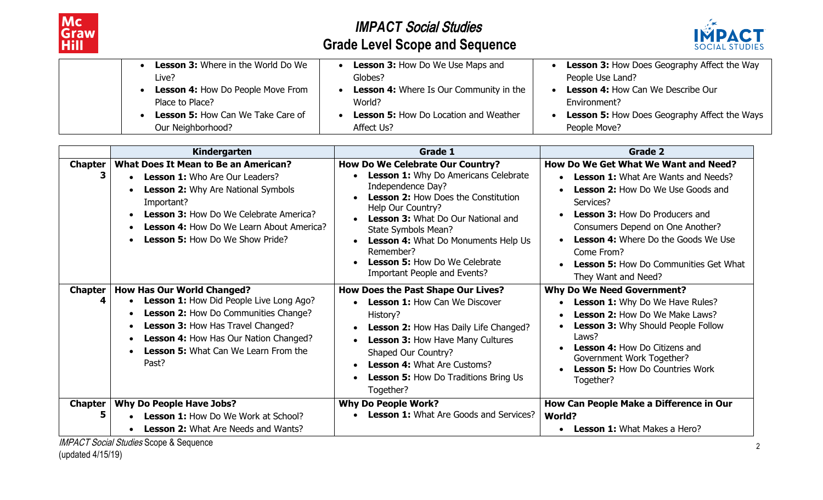



|                   | <b>Lesson 3:</b> Where in the World Do We | Lesson 3: How Do We Use Maps and               | <b>Lesson 3: How Does Geography Affect the Way</b>  |
|-------------------|-------------------------------------------|------------------------------------------------|-----------------------------------------------------|
| Live?             | Globes?                                   |                                                | People Use Land?                                    |
|                   | Lesson 4: How Do People Move From         | <b>Lesson 4:</b> Where Is Our Community in the | Lesson 4: How Can We Describe Our                   |
| Place to Place?   | World?                                    |                                                | Environment?                                        |
|                   | <b>Lesson 5: How Can We Take Care of</b>  | <b>Lesson 5: How Do Location and Weather</b>   | <b>Lesson 5: How Does Geography Affect the Ways</b> |
| Our Neighborhood? | Affect Us?                                |                                                | People Move?                                        |

|                | Kindergarten                                                                                                                                                                                                                                                                                  | Grade 1                                                                                                                                                                                                                                                                                                                                                                 | Grade 2                                                                                                                                                                                                                                                                                                                                                     |
|----------------|-----------------------------------------------------------------------------------------------------------------------------------------------------------------------------------------------------------------------------------------------------------------------------------------------|-------------------------------------------------------------------------------------------------------------------------------------------------------------------------------------------------------------------------------------------------------------------------------------------------------------------------------------------------------------------------|-------------------------------------------------------------------------------------------------------------------------------------------------------------------------------------------------------------------------------------------------------------------------------------------------------------------------------------------------------------|
| <b>Chapter</b> | <b>What Does It Mean to Be an American?</b><br><b>Lesson 1:</b> Who Are Our Leaders?<br><b>Lesson 2: Why Are National Symbols</b><br>Important?<br><b>Lesson 3: How Do We Celebrate America?</b><br><b>Lesson 4: How Do We Learn About America?</b><br><b>Lesson 5: How Do We Show Pride?</b> | <b>How Do We Celebrate Our Country?</b><br>Lesson 1: Why Do Americans Celebrate<br>Independence Day?<br><b>Lesson 2: How Does the Constitution</b><br>Help Our Country?<br>Lesson 3: What Do Our National and<br>State Symbols Mean?<br><b>Lesson 4: What Do Monuments Help Us</b><br>Remember?<br><b>Lesson 5: How Do We Celebrate</b><br>Important People and Events? | How Do We Get What We Want and Need?<br><b>Lesson 1:</b> What Are Wants and Needs?<br><b>Lesson 2: How Do We Use Goods and</b><br>Services?<br><b>Lesson 3: How Do Producers and</b><br>Consumers Depend on One Another?<br><b>Lesson 4: Where Do the Goods We Use</b><br>Come From?<br><b>Lesson 5: How Do Communities Get What</b><br>They Want and Need? |
| <b>Chapter</b> | <b>How Has Our World Changed?</b><br>Lesson 1: How Did People Live Long Ago?<br>Lesson 2: How Do Communities Change?<br>Lesson 3: How Has Travel Changed?<br><b>Lesson 4: How Has Our Nation Changed?</b><br><b>Lesson 5: What Can We Learn From the</b><br>Past?                             | <b>How Does the Past Shape Our Lives?</b><br><b>Lesson 1: How Can We Discover</b><br>History?<br>Lesson 2: How Has Daily Life Changed?<br>Lesson 3: How Have Many Cultures<br>Shaped Our Country?<br><b>Lesson 4: What Are Customs?</b><br><b>Lesson 5: How Do Traditions Bring Us</b><br>Together?                                                                     | <b>Why Do We Need Government?</b><br><b>Lesson 1:</b> Why Do We Have Rules?<br>Lesson 2: How Do We Make Laws?<br>Lesson 3: Why Should People Follow<br>Laws?<br><b>Lesson 4: How Do Citizens and</b><br>Government Work Together?<br><b>Lesson 5: How Do Countries Work</b><br>Together?                                                                    |
| <b>Chapter</b> | <b>Why Do People Have Jobs?</b><br><b>Lesson 1: How Do We Work at School?</b><br><b>Lesson 2: What Are Needs and Wants?</b>                                                                                                                                                                   | <b>Why Do People Work?</b><br><b>Lesson 1:</b> What Are Goods and Services?                                                                                                                                                                                                                                                                                             | How Can People Make a Difference in Our<br><b>World?</b><br><b>Lesson 1: What Makes a Hero?</b>                                                                                                                                                                                                                                                             |

**IMPACT Social Studies Scope & Sequence** 

(updated 4/15/19)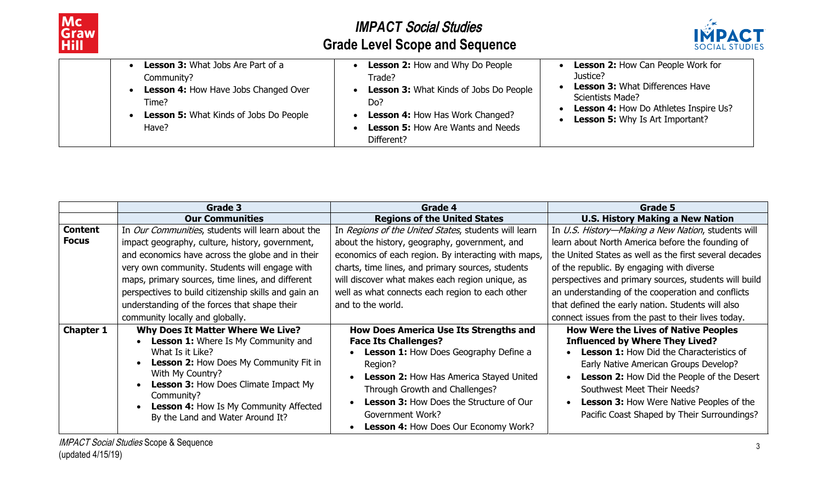



| Lesson 3: What Jobs Are Part of a<br>Community?<br>Lesson 4: How Have Jobs Changed Over<br>Time?<br><b>Lesson 5: What Kinds of Jobs Do People</b><br>Have? | <b>Lesson 2: How and Why Do People</b><br>Trade?<br><b>Lesson 3: What Kinds of Jobs Do People</b><br>Do?<br><b>Lesson 4: How Has Work Changed?</b><br><b>Lesson 5: How Are Wants and Needs</b><br>Different? | Lesson 2: How Can People Work for<br>Justice?<br><b>Lesson 3: What Differences Have</b><br>Scientists Made?<br><b>Lesson 4: How Do Athletes Inspire Us?</b><br><b>Lesson 5: Why Is Art Important?</b> |
|------------------------------------------------------------------------------------------------------------------------------------------------------------|--------------------------------------------------------------------------------------------------------------------------------------------------------------------------------------------------------------|-------------------------------------------------------------------------------------------------------------------------------------------------------------------------------------------------------|
|------------------------------------------------------------------------------------------------------------------------------------------------------------|--------------------------------------------------------------------------------------------------------------------------------------------------------------------------------------------------------------|-------------------------------------------------------------------------------------------------------------------------------------------------------------------------------------------------------|

|                  | Grade 3                                                                    | Grade 4                                              | Grade 5                                                |
|------------------|----------------------------------------------------------------------------|------------------------------------------------------|--------------------------------------------------------|
|                  | <b>Our Communities</b>                                                     | <b>Regions of the United States</b>                  | <b>U.S. History Making a New Nation</b>                |
| <b>Content</b>   | In Our Communities, students will learn about the                          | In Regions of the United States, students will learn | In U.S. History-Making a New Nation, students will     |
| <b>Focus</b>     | impact geography, culture, history, government,                            | about the history, geography, government, and        | learn about North America before the founding of       |
|                  | and economics have across the globe and in their                           | economics of each region. By interacting with maps,  | the United States as well as the first several decades |
|                  | very own community. Students will engage with                              | charts, time lines, and primary sources, students    | of the republic. By engaging with diverse              |
|                  | maps, primary sources, time lines, and different                           | will discover what makes each region unique, as      | perspectives and primary sources, students will build  |
|                  | perspectives to build citizenship skills and gain an                       | well as what connects each region to each other      | an understanding of the cooperation and conflicts      |
|                  | understanding of the forces that shape their                               | and to the world.                                    | that defined the early nation. Students will also      |
|                  | community locally and globally.                                            |                                                      | connect issues from the past to their lives today.     |
| <b>Chapter 1</b> | <b>Why Does It Matter Where We Live?</b>                                   | <b>How Does America Use Its Strengths and</b>        | <b>How Were the Lives of Native Peoples</b>            |
|                  | Lesson 1: Where Is My Community and                                        | <b>Face Its Challenges?</b>                          | <b>Influenced by Where They Lived?</b>                 |
|                  | What Is it Like?                                                           | Lesson 1: How Does Geography Define a                | <b>Lesson 1: How Did the Characteristics of</b>        |
|                  | <b>Lesson 2: How Does My Community Fit in</b>                              | Region?                                              | Early Native American Groups Develop?                  |
|                  | With My Country?                                                           | Lesson 2: How Has America Stayed United              | <b>Lesson 2: How Did the People of the Desert</b>      |
|                  | <b>Lesson 3: How Does Climate Impact My</b>                                | Through Growth and Challenges?                       | Southwest Meet Their Needs?                            |
|                  | Community?                                                                 | <b>Lesson 3: How Does the Structure of Our</b>       | <b>Lesson 3: How Were Native Peoples of the</b>        |
|                  | Lesson 4: How Is My Community Affected<br>By the Land and Water Around It? | Government Work?                                     | Pacific Coast Shaped by Their Surroundings?            |
|                  |                                                                            | <b>Lesson 4: How Does Our Economy Work?</b>          |                                                        |
|                  |                                                                            |                                                      |                                                        |

**IMPACT Social Studies Scope & Sequence** (updated 4/15/19)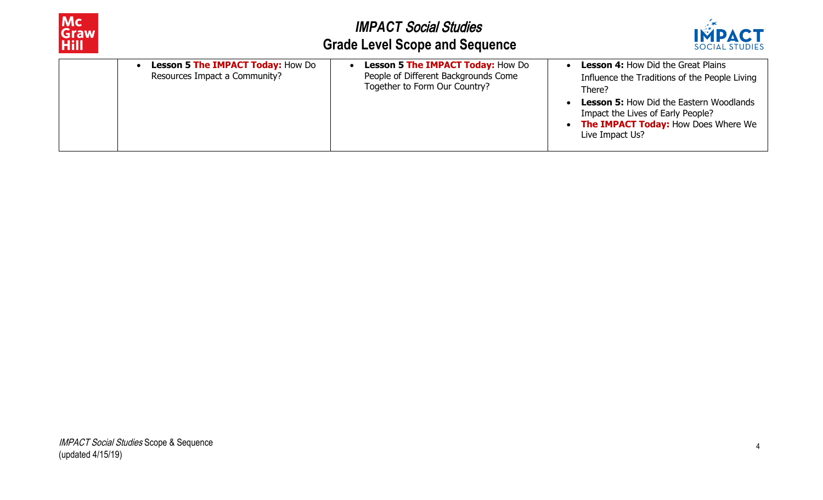

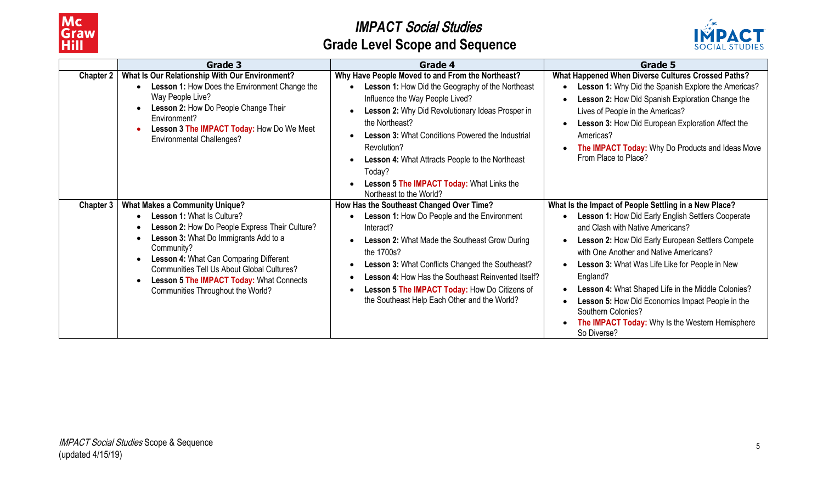



|                  | Grade 3                                                                                                                                                                                                                                                                                                                                                                                                                       | Grade 4                                                                                                                                                                                                                                                                                                                                                                                                                      | Grade 5                                                                                                                                                                                                                                                                                                                                                                                                                                                                                                        |
|------------------|-------------------------------------------------------------------------------------------------------------------------------------------------------------------------------------------------------------------------------------------------------------------------------------------------------------------------------------------------------------------------------------------------------------------------------|------------------------------------------------------------------------------------------------------------------------------------------------------------------------------------------------------------------------------------------------------------------------------------------------------------------------------------------------------------------------------------------------------------------------------|----------------------------------------------------------------------------------------------------------------------------------------------------------------------------------------------------------------------------------------------------------------------------------------------------------------------------------------------------------------------------------------------------------------------------------------------------------------------------------------------------------------|
| <b>Chapter 2</b> | What Is Our Relationship With Our Environment?<br>Lesson 1: How Does the Environment Change the<br>Way People Live?<br>Lesson 2: How Do People Change Their<br>$\bullet$<br>Environment?<br>Lesson 3 The IMPACT Today: How Do We Meet<br>$\bullet$<br><b>Environmental Challenges?</b>                                                                                                                                        | Why Have People Moved to and From the Northeast?<br>Lesson 1: How Did the Geography of the Northeast<br>Influence the Way People Lived?<br>Lesson 2: Why Did Revolutionary Ideas Prosper in<br>the Northeast?<br><b>Lesson 3: What Conditions Powered the Industrial</b><br>Revolution?<br>Lesson 4: What Attracts People to the Northeast<br>Today?<br>Lesson 5 The IMPACT Today: What Links the<br>Northeast to the World? | What Happened When Diverse Cultures Crossed Paths?<br>Lesson 1: Why Did the Spanish Explore the Americas?<br>Lesson 2: How Did Spanish Exploration Change the<br>Lives of People in the Americas?<br>Lesson 3: How Did European Exploration Affect the<br>Americas?<br>The IMPACT Today: Why Do Products and Ideas Move<br>From Place to Place?                                                                                                                                                                |
| <b>Chapter 3</b> | <b>What Makes a Community Unique?</b><br>Lesson 1: What Is Culture?<br>$\bullet$<br>Lesson 2: How Do People Express Their Culture?<br>$\bullet$<br>Lesson 3: What Do Immigrants Add to a<br>$\bullet$<br>Community?<br>Lesson 4: What Can Comparing Different<br>$\bullet$<br><b>Communities Tell Us About Global Cultures?</b><br>Lesson 5 The IMPACT Today: What Connects<br>$\bullet$<br>Communities Throughout the World? | How Has the Southeast Changed Over Time?<br>Lesson 1: How Do People and the Environment<br>Interact?<br>Lesson 2: What Made the Southeast Grow During<br>the 1700s?<br>Lesson 3: What Conflicts Changed the Southeast?<br>Lesson 4: How Has the Southeast Reinvented Itself?<br>Lesson 5 The IMPACT Today: How Do Citizens of<br>the Southeast Help Each Other and the World?                                                | What Is the Impact of People Settling in a New Place?<br>Lesson 1: How Did Early English Settlers Cooperate<br>and Clash with Native Americans?<br>Lesson 2: How Did Early European Settlers Compete<br>with One Another and Native Americans?<br>Lesson 3: What Was Life Like for People in New<br>England?<br>Lesson 4: What Shaped Life in the Middle Colonies?<br>Lesson 5: How Did Economics Impact People in the<br>Southern Colonies?<br>The IMPACT Today: Why Is the Western Hemisphere<br>So Diverse? |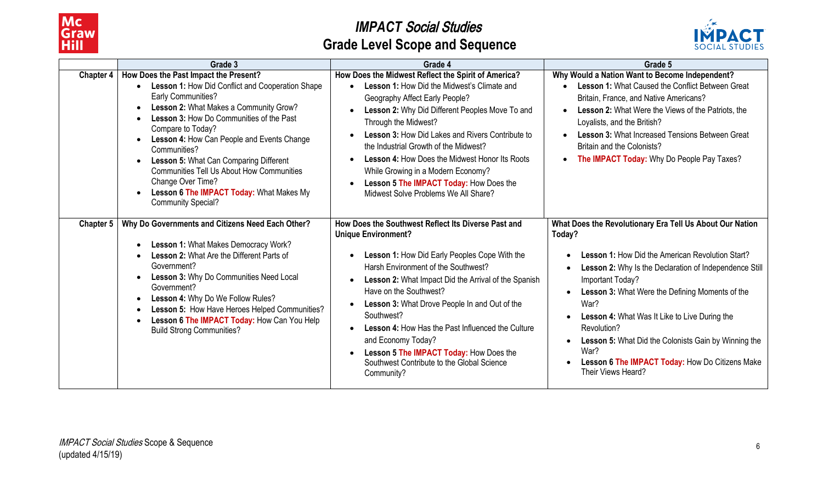



|                  | Grade 3                                                                                                                                                                                                                                                                                                                                                                                                                                                                                                                                   | Grade 4                                                                                                                                                                                                                                                                                                                                                                                                                                                                                                             | Grade 5                                                                                                                                                                                                                                                                                                                                                                                                                                                                                              |
|------------------|-------------------------------------------------------------------------------------------------------------------------------------------------------------------------------------------------------------------------------------------------------------------------------------------------------------------------------------------------------------------------------------------------------------------------------------------------------------------------------------------------------------------------------------------|---------------------------------------------------------------------------------------------------------------------------------------------------------------------------------------------------------------------------------------------------------------------------------------------------------------------------------------------------------------------------------------------------------------------------------------------------------------------------------------------------------------------|------------------------------------------------------------------------------------------------------------------------------------------------------------------------------------------------------------------------------------------------------------------------------------------------------------------------------------------------------------------------------------------------------------------------------------------------------------------------------------------------------|
| <b>Chapter 4</b> | How Does the Past Impact the Present?<br>Lesson 1: How Did Conflict and Cooperation Shape<br><b>Early Communities?</b><br>Lesson 2: What Makes a Community Grow?<br>$\bullet$<br><b>Lesson 3: How Do Communities of the Past</b><br>Compare to Today?<br>Lesson 4: How Can People and Events Change<br>Communities?<br>Lesson 5: What Can Comparing Different<br>$\bullet$<br><b>Communities Tell Us About How Communities</b><br>Change Over Time?<br>Lesson 6 The IMPACT Today: What Makes My<br>$\bullet$<br><b>Community Special?</b> | How Does the Midwest Reflect the Spirit of America?<br><b>Lesson 1: How Did the Midwest's Climate and</b><br>Geography Affect Early People?<br>Lesson 2: Why Did Different Peoples Move To and<br>Through the Midwest?<br><b>Lesson 3: How Did Lakes and Rivers Contribute to</b><br>the Industrial Growth of the Midwest?<br><b>Lesson 4: How Does the Midwest Honor Its Roots</b><br>While Growing in a Modern Economy?<br>Lesson 5 The IMPACT Today: How Does the<br>Midwest Solve Problems We All Share?        | Why Would a Nation Want to Become Independent?<br>Lesson 1: What Caused the Conflict Between Great<br>Britain, France, and Native Americans?<br><b>Lesson 2: What Were the Views of the Patriots, the</b><br>Loyalists, and the British?<br><b>Lesson 3: What Increased Tensions Between Great</b><br>Britain and the Colonists?<br>The IMPACT Today: Why Do People Pay Taxes?                                                                                                                       |
| <b>Chapter 5</b> | Why Do Governments and Citizens Need Each Other?<br>Lesson 1: What Makes Democracy Work?<br>$\bullet$<br><b>Lesson 2: What Are the Different Parts of</b><br>Government?<br>Lesson 3: Why Do Communities Need Local<br>Government?<br>Lesson 4: Why Do We Follow Rules?<br>$\bullet$<br>Lesson 5: How Have Heroes Helped Communities?<br>$\bullet$<br>Lesson 6 The IMPACT Today: How Can You Help<br>$\bullet$<br><b>Build Strong Communities?</b>                                                                                        | How Does the Southwest Reflect Its Diverse Past and<br><b>Unique Environment?</b><br>Lesson 1: How Did Early Peoples Cope With the<br>Harsh Environment of the Southwest?<br>Lesson 2: What Impact Did the Arrival of the Spanish<br>Have on the Southwest?<br>Lesson 3: What Drove People In and Out of the<br>Southwest?<br><b>Lesson 4: How Has the Past Influenced the Culture</b><br>and Economy Today?<br>Lesson 5 The IMPACT Today: How Does the<br>Southwest Contribute to the Global Science<br>Community? | What Does the Revolutionary Era Tell Us About Our Nation<br>Today?<br><b>Lesson 1: How Did the American Revolution Start?</b><br>Lesson 2: Why Is the Declaration of Independence Still<br>Important Today?<br><b>Lesson 3: What Were the Defining Moments of the</b><br>War?<br><b>Lesson 4: What Was It Like to Live During the</b><br>Revolution?<br><b>Lesson 5: What Did the Colonists Gain by Winning the</b><br>War?<br>Lesson 6 The IMPACT Today: How Do Citizens Make<br>Their Views Heard? |